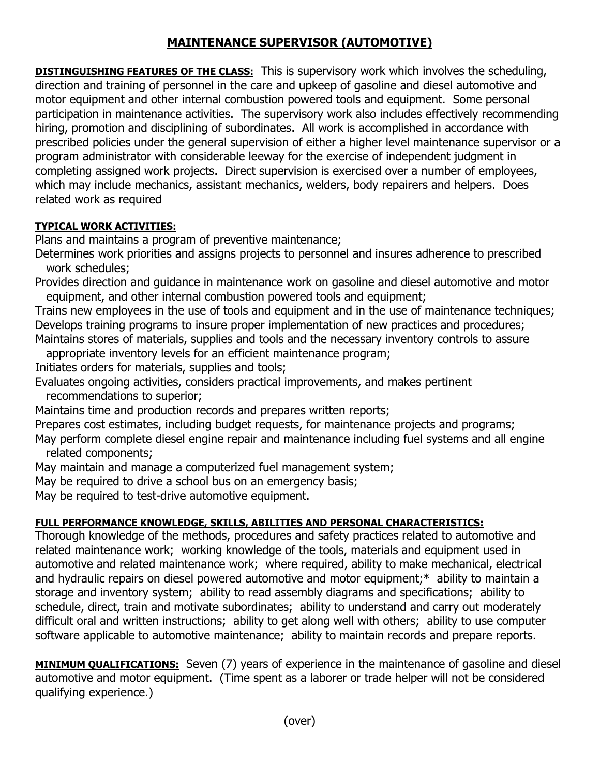## **MAINTENANCE SUPERVISOR (AUTOMOTIVE)**

**DISTINGUISHING FEATURES OF THE CLASS:** This is supervisory work which involves the scheduling, direction and training of personnel in the care and upkeep of gasoline and diesel automotive and motor equipment and other internal combustion powered tools and equipment. Some personal participation in maintenance activities. The supervisory work also includes effectively recommending hiring, promotion and disciplining of subordinates. All work is accomplished in accordance with prescribed policies under the general supervision of either a higher level maintenance supervisor or a program administrator with considerable leeway for the exercise of independent judgment in completing assigned work projects. Direct supervision is exercised over a number of employees, which may include mechanics, assistant mechanics, welders, body repairers and helpers. Does related work as required

## **TYPICAL WORK ACTIVITIES:**

Plans and maintains a program of preventive maintenance;

Determines work priorities and assigns projects to personnel and insures adherence to prescribed work schedules;

Provides direction and guidance in maintenance work on gasoline and diesel automotive and motor equipment, and other internal combustion powered tools and equipment;

Trains new employees in the use of tools and equipment and in the use of maintenance techniques; Develops training programs to insure proper implementation of new practices and procedures; Maintains stores of materials, supplies and tools and the necessary inventory controls to assure

appropriate inventory levels for an efficient maintenance program;

Initiates orders for materials, supplies and tools;

Evaluates ongoing activities, considers practical improvements, and makes pertinent

recommendations to superior;

Maintains time and production records and prepares written reports;

Prepares cost estimates, including budget requests, for maintenance projects and programs;

May perform complete diesel engine repair and maintenance including fuel systems and all engine related components;

May maintain and manage a computerized fuel management system;

May be required to drive a school bus on an emergency basis;

May be required to test-drive automotive equipment.

## **FULL PERFORMANCE KNOWLEDGE, SKILLS, ABILITIES AND PERSONAL CHARACTERISTICS:**

Thorough knowledge of the methods, procedures and safety practices related to automotive and related maintenance work; working knowledge of the tools, materials and equipment used in automotive and related maintenance work; where required, ability to make mechanical, electrical and hydraulic repairs on diesel powered automotive and motor equipment;\* ability to maintain a storage and inventory system; ability to read assembly diagrams and specifications; ability to schedule, direct, train and motivate subordinates; ability to understand and carry out moderately difficult oral and written instructions; ability to get along well with others; ability to use computer software applicable to automotive maintenance; ability to maintain records and prepare reports.

**MINIMUM QUALIFICATIONS:** Seven (7) years of experience in the maintenance of gasoline and diesel automotive and motor equipment. (Time spent as a laborer or trade helper will not be considered qualifying experience.)